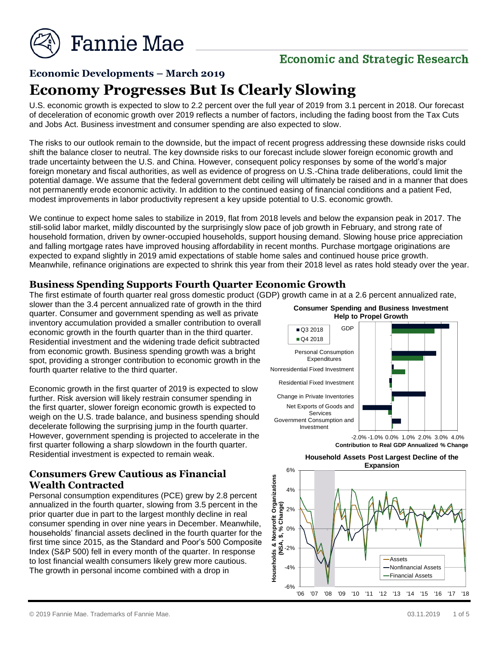

# **Economic and Strategic Research**

## **Economic Developments – March 2019**

# **Economy Progresses But Is Clearly Slowing**

U.S. economic growth is expected to slow to 2.2 percent over the full year of 2019 from 3.1 percent in 2018. Our forecast of deceleration of economic growth over 2019 reflects a number of factors, including the fading boost from the Tax Cuts and Jobs Act. Business investment and consumer spending are also expected to slow.

The risks to our outlook remain to the downside, but the impact of recent progress addressing these downside risks could shift the balance closer to neutral. The key downside risks to our forecast include slower foreign economic growth and trade uncertainty between the U.S. and China. However, consequent policy responses by some of the world's major foreign monetary and fiscal authorities, as well as evidence of progress on U.S.-China trade deliberations, could limit the potential damage. We assume that the federal government debt ceiling will ultimately be raised and in a manner that does not permanently erode economic activity. In addition to the continued easing of financial conditions and a patient Fed, modest improvements in labor productivity represent a key upside potential to U.S. economic growth.

We continue to expect home sales to stabilize in 2019, flat from 2018 levels and below the expansion peak in 2017. The still-solid labor market, mildly discounted by the surprisingly slow pace of job growth in February, and strong rate of household formation, driven by owner-occupied households, support housing demand. Slowing house price appreciation and falling mortgage rates have improved housing affordability in recent months. Purchase mortgage originations are expected to expand slightly in 2019 amid expectations of stable home sales and continued house price growth. Meanwhile, refinance originations are expected to shrink this year from their 2018 level as rates hold steady over the year.

#### **Business Spending Supports Fourth Quarter Economic Growth**

The first estimate of fourth quarter real gross domestic product (GDP) growth came in at a 2.6 percent annualized rate,

slower than the 3.4 percent annualized rate of growth in the third quarter. Consumer and government spending as well as private inventory accumulation provided a smaller contribution to overall economic growth in the fourth quarter than in the third quarter. Residential investment and the widening trade deficit subtracted from economic growth. Business spending growth was a bright spot, providing a stronger contribution to economic growth in the fourth quarter relative to the third quarter.

Economic growth in the first quarter of 2019 is expected to slow further. Risk aversion will likely restrain consumer spending in the first quarter, slower foreign economic growth is expected to weigh on the U.S. trade balance, and business spending should decelerate following the surprising jump in the fourth quarter. However, government spending is projected to accelerate in the first quarter following a sharp slowdown in the fourth quarter. Residential investment is expected to remain weak.

### **Consumers Grew Cautious as Financial Wealth Contracted**

Personal consumption expenditures (PCE) grew by 2.8 percent annualized in the fourth quarter, slowing from 3.5 percent in the prior quarter due in part to the largest monthly decline in real consumer spending in over nine years in December. Meanwhile, households' financial assets declined in the fourth quarter for the first time since 2015, as the Standard and Poor's 500 Composite Index (S&P 500) fell in every month of the quarter. In response to lost financial wealth consumers likely grew more cautious. The growth in personal income combined with a drop in





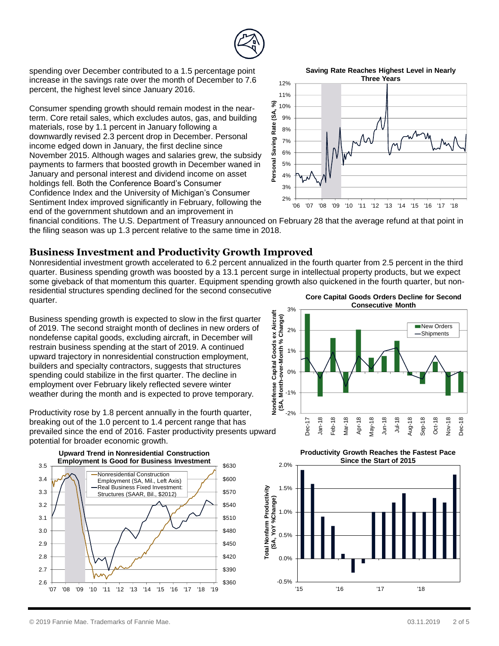

spending over December contributed to a 1.5 percentage point increase in the savings rate over the month of December to 7.6 percent, the highest level since January 2016.

Consumer spending growth should remain modest in the nearterm. Core retail sales, which excludes autos, gas, and building materials, rose by 1.1 percent in January following a downwardly revised 2.3 percent drop in December. Personal income edged down in January, the first decline since November 2015. Although wages and salaries grew, the subsidy payments to farmers that boosted growth in December waned in January and personal interest and dividend income on asset holdings fell. Both the Conference Board's Consumer Confidence Index and the University of Michigan's Consumer Sentiment Index improved significantly in February, following the end of the government shutdown and an improvement in



financial conditions. The U.S. Department of Treasury announced on February 28 that the average refund at that point in the filing season was up 1.3 percent relative to the same time in 2018.

#### **Business Investment and Productivity Growth Improved**

Nonresidential investment growth accelerated to 6.2 percent annualized in the fourth quarter from 2.5 percent in the third quarter. Business spending growth was boosted by a 13.1 percent surge in intellectual property products, but we expect some giveback of that momentum this quarter. Equipment spending growth also quickened in the fourth quarter, but nonresidential structures spending declined for the second consecutive quarter. **Core Capital Goods Orders Decline for Second** 

Business spending growth is expected to slow in the first quarter of 2019. The second straight month of declines in new orders of nondefense capital goods, excluding aircraft, in December will restrain business spending at the start of 2019. A continued upward trajectory in nonresidential construction employment, builders and specialty contractors, suggests that structures spending could stabilize in the first quarter. The decline in employment over February likely reflected severe winter weather during the month and is expected to prove temporary.

Productivity rose by 1.8 percent annually in the fourth quarter, breaking out of the 1.0 percent to 1.4 percent range that has prevailed since the end of 2016. Faster productivity presents upward potential for broader economic growth.





**Productivity Growth Reaches the Fastest Pace Since the Start of 2015**



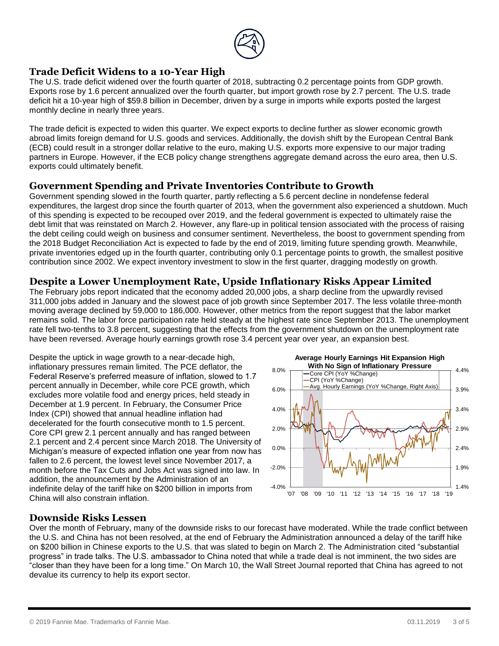

#### **Trade Deficit Widens to a 10-Year High**

The U.S. trade deficit widened over the fourth quarter of 2018, subtracting 0.2 percentage points from GDP growth. Exports rose by 1.6 percent annualized over the fourth quarter, but import growth rose by 2.7 percent. The U.S. trade deficit hit a 10-year high of \$59.8 billion in December, driven by a surge in imports while exports posted the largest monthly decline in nearly three years.

The trade deficit is expected to widen this quarter. We expect exports to decline further as slower economic growth abroad limits foreign demand for U.S. goods and services. Additionally, the dovish shift by the European Central Bank (ECB) could result in a stronger dollar relative to the euro, making U.S. exports more expensive to our major trading partners in Europe. However, if the ECB policy change strengthens aggregate demand across the euro area, then U.S. exports could ultimately benefit.

#### **Government Spending and Private Inventories Contribute to Growth**

Government spending slowed in the fourth quarter, partly reflecting a 5.6 percent decline in nondefense federal expenditures, the largest drop since the fourth quarter of 2013, when the government also experienced a shutdown. Much of this spending is expected to be recouped over 2019, and the federal government is expected to ultimately raise the debt limit that was reinstated on March 2. However, any flare-up in political tension associated with the process of raising the debt ceiling could weigh on business and consumer sentiment. Nevertheless, the boost to government spending from the 2018 Budget Reconciliation Act is expected to fade by the end of 2019, limiting future spending growth. Meanwhile, private inventories edged up in the fourth quarter, contributing only 0.1 percentage points to growth, the smallest positive contribution since 2002. We expect inventory investment to slow in the first quarter, dragging modestly on growth.

#### **Despite a Lower Unemployment Rate, Upside Inflationary Risks Appear Limited**

The February jobs report indicated that the economy added 20,000 jobs, a sharp decline from the upwardly revised 311,000 jobs added in January and the slowest pace of job growth since September 2017. The less volatile three-month moving average declined by 59,000 to 186,000. However, other metrics from the report suggest that the labor market remains solid. The labor force participation rate held steady at the highest rate since September 2013. The unemployment rate fell two-tenths to 3.8 percent, suggesting that the effects from the government shutdown on the unemployment rate have been reversed. Average hourly earnings growth rose 3.4 percent year over year, an expansion best.

Despite the uptick in wage growth to a near-decade high, inflationary pressures remain limited. The PCE deflator, the Federal Reserve's preferred measure of inflation, slowed to 1.7 percent annually in December, while core PCE growth, which excludes more volatile food and energy prices, held steady in December at 1.9 percent. In February, the Consumer Price Index (CPI) showed that annual headline inflation had decelerated for the fourth consecutive month to 1.5 percent. Core CPI grew 2.1 percent annually and has ranged between 2.1 percent and 2.4 percent since March 2018. The University of Michigan's measure of expected inflation one year from now has fallen to 2.6 percent, the lowest level since November 2017, a month before the Tax Cuts and Jobs Act was signed into law. In addition, the announcement by the Administration of an indefinite delay of the tariff hike on \$200 billion in imports from China will also constrain inflation.



#### **Downside Risks Lessen**

Over the month of February, many of the downside risks to our forecast have moderated. While the trade conflict between the U.S. and China has not been resolved, at the end of February the Administration announced a delay of the tariff hike on \$200 billion in Chinese exports to the U.S. that was slated to begin on March 2. The Administration cited "substantial progress" in trade talks. The U.S. ambassador to China noted that while a trade deal is not imminent, the two sides are "closer than they have been for a long time." On March 10, the Wall Street Journal reported that China has agreed to not devalue its currency to help its export sector.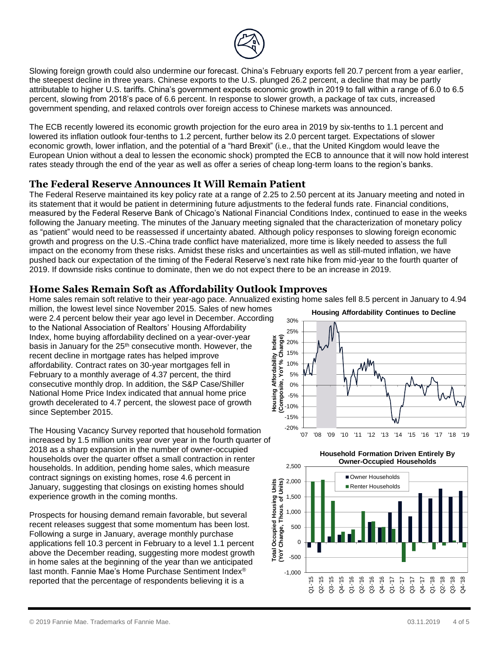

Slowing foreign growth could also undermine our forecast. China's February exports fell 20.7 percent from a year earlier, the steepest decline in three years. Chinese exports to the U.S. plunged 26.2 percent, a decline that may be partly attributable to higher U.S. tariffs. China's government expects economic growth in 2019 to fall within a range of 6.0 to 6.5 percent, slowing from 2018's pace of 6.6 percent. In response to slower growth, a package of tax cuts, increased government spending, and relaxed controls over foreign access to Chinese markets was announced.

The ECB recently lowered its economic growth projection for the euro area in 2019 by six-tenths to 1.1 percent and lowered its inflation outlook four-tenths to 1.2 percent, further below its 2.0 percent target. Expectations of slower economic growth, lower inflation, and the potential of a "hard Brexit" (i.e., that the United Kingdom would leave the European Union without a deal to lessen the economic shock) prompted the ECB to announce that it will now hold interest rates steady through the end of the year as well as offer a series of cheap long-term loans to the region's banks.

#### **The Federal Reserve Announces It Will Remain Patient**

The Federal Reserve maintained its key policy rate at a range of 2.25 to 2.50 percent at its January meeting and noted in its statement that it would be patient in determining future adjustments to the federal funds rate. Financial conditions, measured by the Federal Reserve Bank of Chicago's National Financial Conditions Index, continued to ease in the weeks following the January meeting. The minutes of the January meeting signaled that the characterization of monetary policy as "patient" would need to be reassessed if uncertainty abated. Although policy responses to slowing foreign economic growth and progress on the U.S.-China trade conflict have materialized, more time is likely needed to assess the full impact on the economy from these risks. Amidst these risks and uncertainties as well as still-muted inflation, we have pushed back our expectation of the timing of the Federal Reserve's next rate hike from mid-year to the fourth quarter of 2019. If downside risks continue to dominate, then we do not expect there to be an increase in 2019.

### **Home Sales Remain Soft as Affordability Outlook Improves**

Home sales remain soft relative to their year-ago pace. Annualized existing home sales fell 8.5 percent in January to 4.94

million, the lowest level since November 2015. Sales of new homes were 2.4 percent below their year ago level in December. According to the National Association of Realtors' Housing Affordability Index, home buying affordability declined on a year-over-year basis in January for the 25<sup>th</sup> consecutive month. However, the recent decline in mortgage rates has helped improve affordability. Contract rates on 30-year mortgages fell in February to a monthly average of 4.37 percent, the third consecutive monthly drop. In addition, the S&P Case/Shiller National Home Price Index indicated that annual home price growth decelerated to 4.7 percent, the slowest pace of growth since September 2015.

The Housing Vacancy Survey reported that household formation increased by 1.5 million units year over year in the fourth quarter of 2018 as a sharp expansion in the number of owner-occupied households over the quarter offset a small contraction in renter households. In addition, pending home sales, which measure contract signings on existing homes, rose 4.6 percent in January, suggesting that closings on existing homes should experience growth in the coming months.

Prospects for housing demand remain favorable, but several recent releases suggest that some momentum has been lost. Following a surge in January, average monthly purchase applications fell 10.3 percent in February to a level 1.1 percent above the December reading, suggesting more modest growth in home sales at the beginning of the year than we anticipated last month. Fannie Mae's Home Purchase Sentiment Index® reported that the percentage of respondents believing it is a